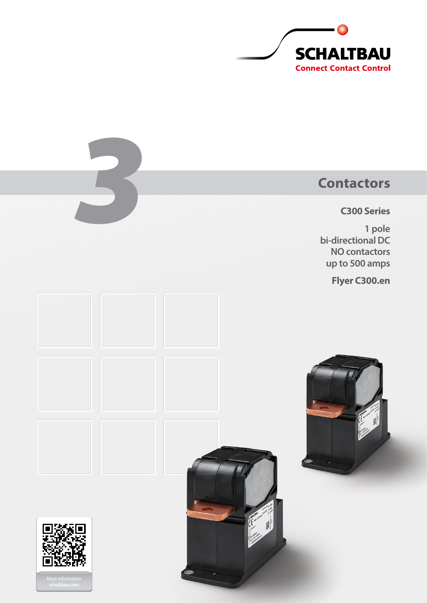

# **Contactors**

**C300 Series**

**1 pole bi-directional DC NO contactors up to 500 amps**